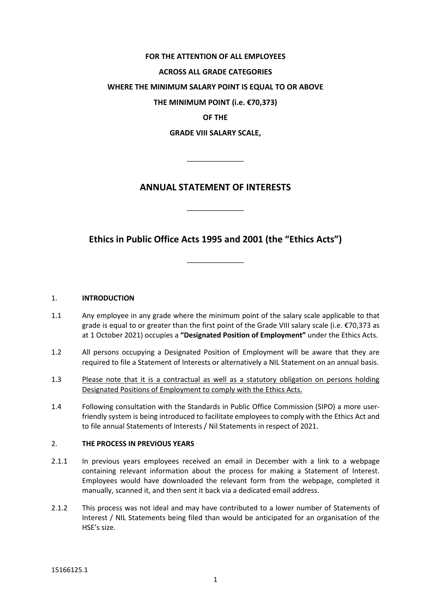## **FOR THE ATTENTION OF ALL EMPLOYEES**

#### **ACROSS ALL GRADE CATEGORIES**

#### **WHERE THE MINIMUM SALARY POINT IS EQUAL TO OR ABOVE**

**THE MINIMUM POINT (i.e. €70,373)**

**OF THE** 

**GRADE VIII SALARY SCALE,** 

 $\overline{\phantom{a}}$  ,  $\overline{\phantom{a}}$  ,  $\overline{\phantom{a}}$  ,  $\overline{\phantom{a}}$  ,  $\overline{\phantom{a}}$  ,  $\overline{\phantom{a}}$  ,  $\overline{\phantom{a}}$  ,  $\overline{\phantom{a}}$  ,  $\overline{\phantom{a}}$  ,  $\overline{\phantom{a}}$  ,  $\overline{\phantom{a}}$  ,  $\overline{\phantom{a}}$  ,  $\overline{\phantom{a}}$  ,  $\overline{\phantom{a}}$  ,  $\overline{\phantom{a}}$  ,  $\overline{\phantom{a}}$ 

# **ANNUAL STATEMENT OF INTERESTS**

\_\_\_\_\_\_\_\_\_\_\_\_\_\_\_

**Ethics in Public Office Acts 1995 and 2001 (the "Ethics Acts")**

 $\overline{\phantom{a}}$  ,  $\overline{\phantom{a}}$  ,  $\overline{\phantom{a}}$  ,  $\overline{\phantom{a}}$  ,  $\overline{\phantom{a}}$  ,  $\overline{\phantom{a}}$  ,  $\overline{\phantom{a}}$  ,  $\overline{\phantom{a}}$  ,  $\overline{\phantom{a}}$  ,  $\overline{\phantom{a}}$  ,  $\overline{\phantom{a}}$  ,  $\overline{\phantom{a}}$  ,  $\overline{\phantom{a}}$  ,  $\overline{\phantom{a}}$  ,  $\overline{\phantom{a}}$  ,  $\overline{\phantom{a}}$ 

#### 1. **INTRODUCTION**

- 1.1 Any employee in any grade where the minimum point of the salary scale applicable to that grade is equal to or greater than the first point of the Grade VIII salary scale (i.e. €70,373 as at 1 October 2021) occupies a **"Designated Position of Employment"** under the Ethics Acts.
- 1.2 All persons occupying a Designated Position of Employment will be aware that they are required to file a Statement of Interests or alternatively a NIL Statement on an annual basis.
- 1.3 Please note that it is a contractual as well as a statutory obligation on persons holding Designated Positions of Employment to comply with the Ethics Acts.
- 1.4 Following consultation with the Standards in Public Office Commission (SIPO) a more userfriendly system is being introduced to facilitate employees to comply with the Ethics Act and to file annual Statements of Interests / Nil Statements in respect of 2021.

#### 2. **THE PROCESS IN PREVIOUS YEARS**

- 2.1.1 In previous years employees received an email in December with a link to a webpage containing relevant information about the process for making a Statement of Interest. Employees would have downloaded the relevant form from the webpage, completed it manually, scanned it, and then sent it back via a dedicated email address.
- 2.1.2 This process was not ideal and may have contributed to a lower number of Statements of Interest / NIL Statements being filed than would be anticipated for an organisation of the HSE's size.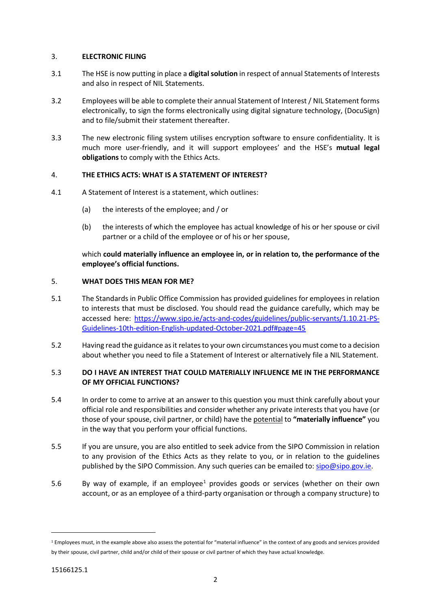## 3. **ELECTRONIC FILING**

- 3.1 The HSE is now putting in place a **digital solution** in respect of annual Statements of Interests and also in respect of NIL Statements.
- 3.2 Employees will be able to complete their annual Statement of Interest / NIL Statement forms electronically, to sign the forms electronically using digital signature technology, (DocuSign) and to file/submit their statement thereafter.
- 3.3 The new electronic filing system utilises encryption software to ensure confidentiality. It is much more user-friendly, and it will support employees' and the HSE's **mutual legal obligations** to comply with the Ethics Acts.

## 4. **THE ETHICS ACTS: WHAT IS A STATEMENT OF INTEREST?**

- 4.1 A Statement of Interest is a statement, which outlines:
	- (a) the interests of the employee; and / or
	- (b) the interests of which the employee has actual knowledge of his or her spouse or civil partner or a child of the employee or of his or her spouse,

which **could materially influence an employee in, or in relation to, the performance of the employee's official functions.**

## 5. **WHAT DOES THIS MEAN FOR ME?**

- 5.1 The Standards in Public Office Commission has provided guidelines for employees in relation to interests that must be disclosed. You should read the guidance carefully, which may be accessed here: [https://www.sipo.ie/acts-and-codes/guidelines/public-servants/1.10.21-PS-](https://www.sipo.ie/acts-and-codes/guidelines/public-servants/1.10.21-PS-Guidelines-10th-edition-English-updated-October-2021.pdf#page=45)[Guidelines-10th-edition-English-updated-October-2021.pdf#page=45](https://www.sipo.ie/acts-and-codes/guidelines/public-servants/1.10.21-PS-Guidelines-10th-edition-English-updated-October-2021.pdf#page=45)
- 5.2 Having read the guidance as it relates to your own circumstances you must come to a decision about whether you need to file a Statement of Interest or alternatively file a NIL Statement.

## 5.3 **DO I HAVE AN INTEREST THAT COULD MATERIALLY INFLUENCE ME IN THE PERFORMANCE OF MY OFFICIAL FUNCTIONS?**

- 5.4 In order to come to arrive at an answer to this question you must think carefully about your official role and responsibilities and consider whether any private interests that you have (or those of your spouse, civil partner, or child) have the potential to **"materially influence"** you in the way that you perform your official functions.
- 5.5 If you are unsure, you are also entitled to seek advice from the SIPO Commission in relation to any provision of the Ethics Acts as they relate to you, or in relation to the guidelines published by the SIPO Commission. Any such queries can be emailed to[: sipo@sipo.gov.ie.](mailto:sipo@sipo.gov.ie)
- 5.6 By way of example, if an employee<sup>[1](#page-1-0)</sup> provides goods or services (whether on their own account, or as an employee of a third-party organisation or through a company structure) to

-

<span id="page-1-0"></span><sup>&</sup>lt;sup>1</sup> Employees must, in the example above also assess the potential for "material influence" in the context of any goods and services provided by their spouse, civil partner, child and/or child of their spouse or civil partner of which they have actual knowledge.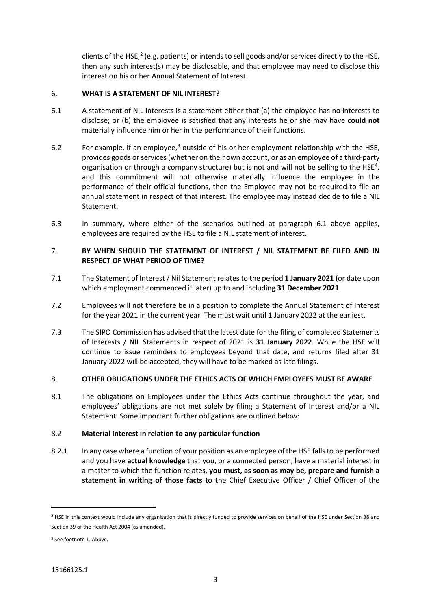clients of the HSE,<sup>[2](#page-2-0)</sup> (e.g. patients) or intends to sell goods and/or services directly to the HSE, then any such interest(s) may be disclosable, and that employee may need to disclose this interest on his or her Annual Statement of Interest.

## 6. **WHAT IS A STATEMENT OF NIL INTEREST?**

- 6.1 A statement of NIL interests is a statement either that (a) the employee has no interests to disclose; or (b) the employee is satisfied that any interests he or she may have **could not** materially influence him or her in the performance of their functions.
- 6.2 For example, if an employee,<sup>[3](#page-2-1)</sup> outside of his or her employment relationship with the HSE, provides goods or services (whether on their own account, or as an employee of a third-party organisation or through a company structure) but is not and will not be selling to the HSE<sup>[4](#page-2-2)</sup>, and this commitment will not otherwise materially influence the employee in the performance of their official functions, then the Employee may not be required to file an annual statement in respect of that interest. The employee may instead decide to file a NIL Statement.
- 6.3 In summary, where either of the scenarios outlined at paragraph 6.1 above applies, employees are required by the HSE to file a NIL statement of interest.

## 7. **BY WHEN SHOULD THE STATEMENT OF INTEREST / NIL STATEMENT BE FILED AND IN RESPECT OF WHAT PERIOD OF TIME?**

- 7.1 The Statement of Interest / Nil Statement relates to the period **1 January 2021** (or date upon which employment commenced if later) up to and including **31 December 2021**.
- 7.2 Employees will not therefore be in a position to complete the Annual Statement of Interest for the year 2021 in the current year. The must wait until 1 January 2022 at the earliest.
- 7.3 The SIPO Commission has advised that the latest date for the filing of completed Statements of Interests / NIL Statements in respect of 2021 is **31 January 2022**. While the HSE will continue to issue reminders to employees beyond that date, and returns filed after 31 January 2022 will be accepted, they will have to be marked as late filings.

## 8. **OTHER OBLIGATIONS UNDER THE ETHICS ACTS OF WHICH EMPLOYEES MUST BE AWARE**

8.1 The obligations on Employees under the Ethics Acts continue throughout the year, and employees' obligations are not met solely by filing a Statement of Interest and/or a NIL Statement. Some important further obligations are outlined below:

#### 8.2 **Material Interest in relation to any particular function**

8.2.1 In any case where a function of your position as an employee of the HSE fallsto be performed and you have **actual knowledge** that you, or a connected person, have a material interest in a matter to which the function relates, **you must, as soon as may be, prepare and furnish a statement in writing of those facts** to the Chief Executive Officer / Chief Officer of the

-

<span id="page-2-0"></span><sup>&</sup>lt;sup>2</sup> HSE in this context would include any organisation that is directly funded to provide services on behalf of the HSE under Section 38 and Section 39 of the Health Act 2004 (as amended).

<span id="page-2-2"></span><span id="page-2-1"></span><sup>&</sup>lt;sup>3</sup> See footnote 1. Above.